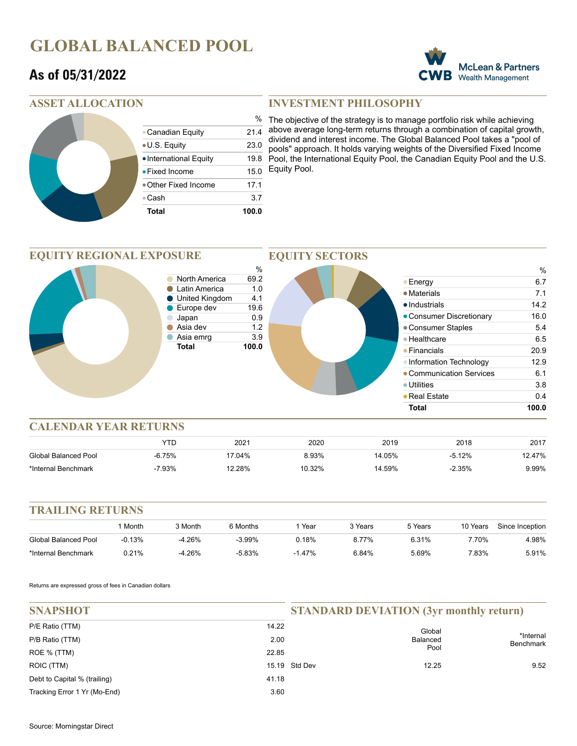## **GLOBAL BALANCED POOL**

### **As of 05/31/2022**



### **ASSET ALLOCATION**

| Total                  | 100.0         |
|------------------------|---------------|
| ●Cash                  | 3.7           |
| ● Other Fixed Income   | 17.1          |
| • Fixed Income         | 15.0          |
| • International Equity | 19.8          |
| • U.S. Equity          | 23.0          |
| • Canadian Equity      | 21.4          |
|                        | $\frac{0}{0}$ |

### **INVESTMENT PHILOSOPHY**

The objective of the strategy is to manage portfolio risk while achieving above average long-term returns through a combination of capital growth, dividend and interest income. The Global Balanced Pool takes a "pool of pools" approach. It holds varying weights of the Diversified Fixed Income Pool, the International Equity Pool, the Canadian Equity Pool and the U.S. Equity Pool.

#### **EQUITY REGIONAL EXPOSURE**



**EQUITY SECTORS**

### **CALENDAR YEAR RETURNS**

|                      |          | 2021      | 2020   | 2019   | 2018     | 2017  |
|----------------------|----------|-----------|--------|--------|----------|-------|
| Global Balanced Pool | $-6.75%$ | $17.04\%$ |        | 14.05% | $-5.12%$ | 2.47% |
| *Internal Benchmark  | 7.93%    | '2.28%    | 10.32% | 14.59% | $-2.35%$ | 9.99% |

### **TRAILING RETURNS**

|                      | Month    | 3 Month  | 6 Months  | Year  | २ Years | 5 Years | 10 Years | Since Inception |
|----------------------|----------|----------|-----------|-------|---------|---------|----------|-----------------|
| Global Balanced Pool | $-0.13%$ | -4.26%   | $-3.99\%$ | 0.18% | 8.77%   | 6.31%   | .70%     | 4.98%           |
| *Internal Benchmark  | $0.21\%$ | $-4.26%$ | $-5.83%$  | 1.47% | 6.84%   | 5.69%   | .83%     | 5.91%           |

Returns are expressed gross of fees in Canadian dollars

| <b>SNAPSHOT</b>              |       | <b>STANDARD DEVIATION (3yr monthly return)</b> |                 |                               |
|------------------------------|-------|------------------------------------------------|-----------------|-------------------------------|
| P/E Ratio (TTM)              | 14.22 |                                                | Global          | *Internal<br><b>Benchmark</b> |
| P/B Ratio (TTM)              | 2.00  |                                                | <b>Balanced</b> |                               |
| ROE % (TTM)                  | 22.85 |                                                | Pool            |                               |
| ROIC (TTM)                   |       | 15.19 Std Dev                                  | 12.25           | 9.52                          |
| Debt to Capital % (trailing) | 41.18 |                                                |                 |                               |
| Tracking Error 1 Yr (Mo-End) | 3.60  |                                                |                 |                               |